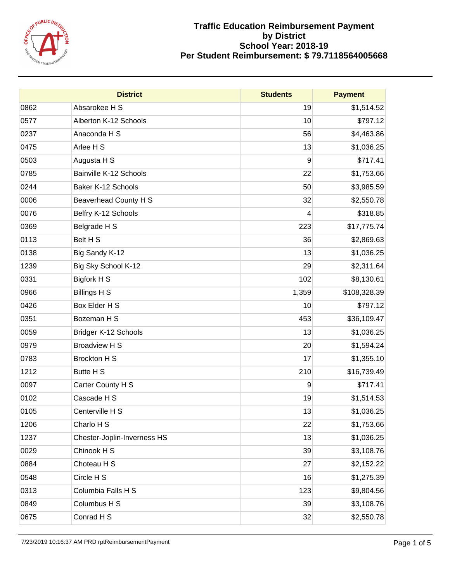

|      | <b>District</b>             | <b>Students</b> | <b>Payment</b> |
|------|-----------------------------|-----------------|----------------|
| 0862 | Absarokee H S               | 19              | \$1,514.52     |
| 0577 | Alberton K-12 Schools       | 10              | \$797.12       |
| 0237 | Anaconda H S                | 56              | \$4,463.86     |
| 0475 | Arlee H S                   | 13              | \$1,036.25     |
| 0503 | Augusta H S                 | 9               | \$717.41       |
| 0785 | Bainville K-12 Schools      | 22              | \$1,753.66     |
| 0244 | Baker K-12 Schools          | 50              | \$3,985.59     |
| 0006 | Beaverhead County H S       | 32              | \$2,550.78     |
| 0076 | Belfry K-12 Schools         | 4               | \$318.85       |
| 0369 | Belgrade H S                | 223             | \$17,775.74    |
| 0113 | Belt H S                    | 36              | \$2,869.63     |
| 0138 | Big Sandy K-12              | 13              | \$1,036.25     |
| 1239 | Big Sky School K-12         | 29              | \$2,311.64     |
| 0331 | Bigfork H S                 | 102             | \$8,130.61     |
| 0966 | <b>Billings H S</b>         | 1,359           | \$108,328.39   |
| 0426 | Box Elder H S               | 10              | \$797.12       |
| 0351 | Bozeman H S                 | 453             | \$36,109.47    |
| 0059 | Bridger K-12 Schools        | 13              | \$1,036.25     |
| 0979 | <b>Broadview H S</b>        | 20              | \$1,594.24     |
| 0783 | <b>Brockton H S</b>         | 17              | \$1,355.10     |
| 1212 | Butte H S                   | 210             | \$16,739.49    |
| 0097 | Carter County H S           | 9               | \$717.41       |
| 0102 | Cascade H S                 | 19              | \$1,514.53     |
| 0105 | Centerville H S             | 13              | \$1,036.25     |
| 1206 | Charlo H S                  | 22              | \$1,753.66     |
| 1237 | Chester-Joplin-Inverness HS | 13              | \$1,036.25     |
| 0029 | Chinook H S                 | 39              | \$3,108.76     |
| 0884 | Choteau H S                 | 27              | \$2,152.22     |
| 0548 | Circle H S                  | 16              | \$1,275.39     |
| 0313 | Columbia Falls H S          | 123             | \$9,804.56     |
| 0849 | Columbus H S                | 39              | \$3,108.76     |
| 0675 | Conrad H S                  | 32              | \$2,550.78     |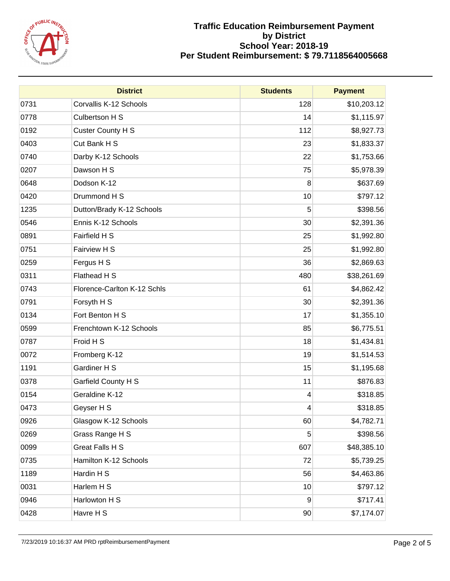

|      | <b>District</b>             | <b>Students</b> | <b>Payment</b> |
|------|-----------------------------|-----------------|----------------|
| 0731 | Corvallis K-12 Schools      | 128             | \$10,203.12    |
| 0778 | Culbertson H S              | 14              | \$1,115.97     |
| 0192 | Custer County H S           | 112             | \$8,927.73     |
| 0403 | Cut Bank H S                | 23              | \$1,833.37     |
| 0740 | Darby K-12 Schools          | 22              | \$1,753.66     |
| 0207 | Dawson H S                  | 75              | \$5,978.39     |
| 0648 | Dodson K-12                 | 8               | \$637.69       |
| 0420 | Drummond H S                | 10              | \$797.12       |
| 1235 | Dutton/Brady K-12 Schools   | 5               | \$398.56       |
| 0546 | Ennis K-12 Schools          | 30              | \$2,391.36     |
| 0891 | Fairfield H S               | 25              | \$1,992.80     |
| 0751 | Fairview H S                | 25              | \$1,992.80     |
| 0259 | Fergus H S                  | 36              | \$2,869.63     |
| 0311 | Flathead H S                | 480             | \$38,261.69    |
| 0743 | Florence-Carlton K-12 Schls | 61              | \$4,862.42     |
| 0791 | Forsyth H S                 | 30              | \$2,391.36     |
| 0134 | Fort Benton H S             | 17              | \$1,355.10     |
| 0599 | Frenchtown K-12 Schools     | 85              | \$6,775.51     |
| 0787 | Froid H S                   | 18              | \$1,434.81     |
| 0072 | Fromberg K-12               | 19              | \$1,514.53     |
| 1191 | Gardiner H S                | 15              | \$1,195.68     |
| 0378 | Garfield County H S         | 11              | \$876.83       |
| 0154 | Geraldine K-12              | 4               | \$318.85       |
| 0473 | Geyser H S                  | 4               | \$318.85       |
| 0926 | Glasgow K-12 Schools        | 60              | \$4,782.71     |
| 0269 | Grass Range H S             | 5               | \$398.56       |
| 0099 | Great Falls H S             | 607             | \$48,385.10    |
| 0735 | Hamilton K-12 Schools       | 72              | \$5,739.25     |
| 1189 | Hardin H S                  | 56              | \$4,463.86     |
| 0031 | Harlem H S                  | 10              | \$797.12       |
| 0946 | Harlowton H S               | 9               | \$717.41       |
| 0428 | Havre H S                   | 90              | \$7,174.07     |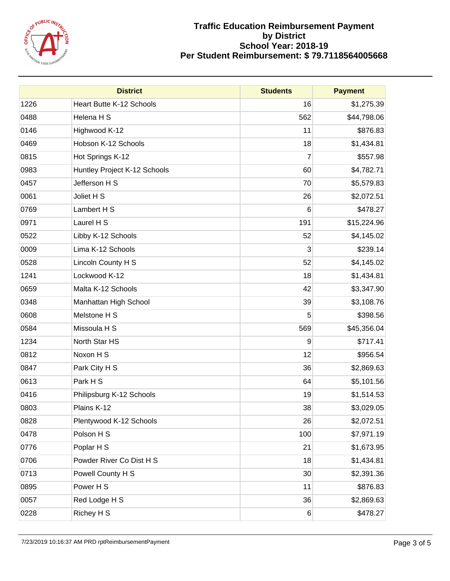

|      | <b>District</b>              | <b>Students</b> | <b>Payment</b> |
|------|------------------------------|-----------------|----------------|
| 1226 | Heart Butte K-12 Schools     | 16              | \$1,275.39     |
| 0488 | Helena H S                   | 562             | \$44,798.06    |
| 0146 | Highwood K-12                | 11              | \$876.83       |
| 0469 | Hobson K-12 Schools          | 18              | \$1,434.81     |
| 0815 | Hot Springs K-12             | $\overline{7}$  | \$557.98       |
| 0983 | Huntley Project K-12 Schools | 60              | \$4,782.71     |
| 0457 | Jefferson H S                | 70              | \$5,579.83     |
| 0061 | Joliet H S                   | 26              | \$2,072.51     |
| 0769 | Lambert H S                  | 6               | \$478.27       |
| 0971 | Laurel H S                   | 191             | \$15,224.96    |
| 0522 | Libby K-12 Schools           | 52              | \$4,145.02     |
| 0009 | Lima K-12 Schools            | 3               | \$239.14       |
| 0528 | Lincoln County H S           | 52              | \$4,145.02     |
| 1241 | Lockwood K-12                | 18              | \$1,434.81     |
| 0659 | Malta K-12 Schools           | 42              | \$3,347.90     |
| 0348 | Manhattan High School        | 39              | \$3,108.76     |
| 0608 | Melstone H S                 | 5               | \$398.56       |
| 0584 | Missoula H S                 | 569             | \$45,356.04    |
| 1234 | North Star HS                | 9               | \$717.41       |
| 0812 | Noxon H S                    | 12              | \$956.54       |
| 0847 | Park City H S                | 36              | \$2,869.63     |
| 0613 | Park H S                     | 64              | \$5,101.56     |
| 0416 | Philipsburg K-12 Schools     | 19              | \$1,514.53     |
| 0803 | Plains K-12                  | 38              | \$3,029.05     |
| 0828 | Plentywood K-12 Schools      | 26              | \$2,072.51     |
| 0478 | Polson H S                   | 100             | \$7,971.19     |
| 0776 | Poplar H S                   | 21              | \$1,673.95     |
| 0706 | Powder River Co Dist H S     | 18              | \$1,434.81     |
| 0713 | Powell County H S            | 30              | \$2,391.36     |
| 0895 | Power H S                    | 11              | \$876.83       |
| 0057 | Red Lodge H S                | 36              | \$2,869.63     |
| 0228 | Richey H S                   | 6               | \$478.27       |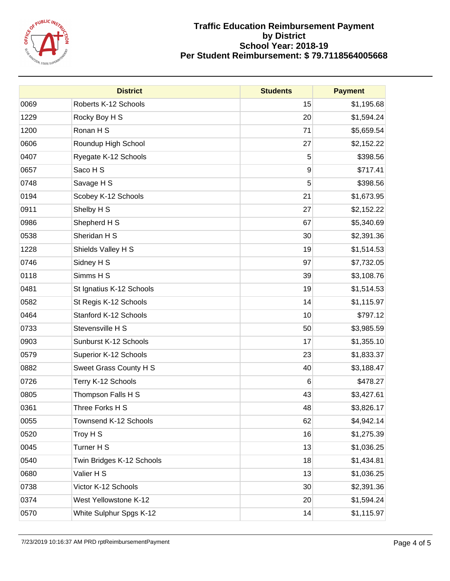

|      | <b>District</b>           | <b>Students</b> | <b>Payment</b> |
|------|---------------------------|-----------------|----------------|
| 0069 | Roberts K-12 Schools      | 15              | \$1,195.68     |
| 1229 | Rocky Boy H S             | 20              | \$1,594.24     |
| 1200 | Ronan H S                 | 71              | \$5,659.54     |
| 0606 | Roundup High School       | 27              | \$2,152.22     |
| 0407 | Ryegate K-12 Schools      | 5               | \$398.56       |
| 0657 | Saco H S                  | 9               | \$717.41       |
| 0748 | Savage H S                | 5               | \$398.56       |
| 0194 | Scobey K-12 Schools       | 21              | \$1,673.95     |
| 0911 | Shelby H S                | 27              | \$2,152.22     |
| 0986 | Shepherd H S              | 67              | \$5,340.69     |
| 0538 | Sheridan H S              | 30              | \$2,391.36     |
| 1228 | Shields Valley H S        | 19              | \$1,514.53     |
| 0746 | Sidney H S                | 97              | \$7,732.05     |
| 0118 | Simms H S                 | 39              | \$3,108.76     |
| 0481 | St Ignatius K-12 Schools  | 19              | \$1,514.53     |
| 0582 | St Regis K-12 Schools     | 14              | \$1,115.97     |
| 0464 | Stanford K-12 Schools     | 10              | \$797.12       |
| 0733 | Stevensville H S          | 50              | \$3,985.59     |
| 0903 | Sunburst K-12 Schools     | 17              | \$1,355.10     |
| 0579 | Superior K-12 Schools     | 23              | \$1,833.37     |
| 0882 | Sweet Grass County H S    | 40              | \$3,188.47     |
| 0726 | Terry K-12 Schools        | 6               | \$478.27       |
| 0805 | Thompson Falls H S        | 43              | \$3,427.61     |
| 0361 | Three Forks H S           | 48              | \$3,826.17     |
| 0055 | Townsend K-12 Schools     | 62              | \$4,942.14     |
| 0520 | Troy H S                  | 16              | \$1,275.39     |
| 0045 | Turner H S                | 13              | \$1,036.25     |
| 0540 | Twin Bridges K-12 Schools | 18              | \$1,434.81     |
| 0680 | Valier H S                | 13              | \$1,036.25     |
| 0738 | Victor K-12 Schools       | 30              | \$2,391.36     |
| 0374 | West Yellowstone K-12     | 20              | \$1,594.24     |
| 0570 | White Sulphur Spgs K-12   | 14              | \$1,115.97     |